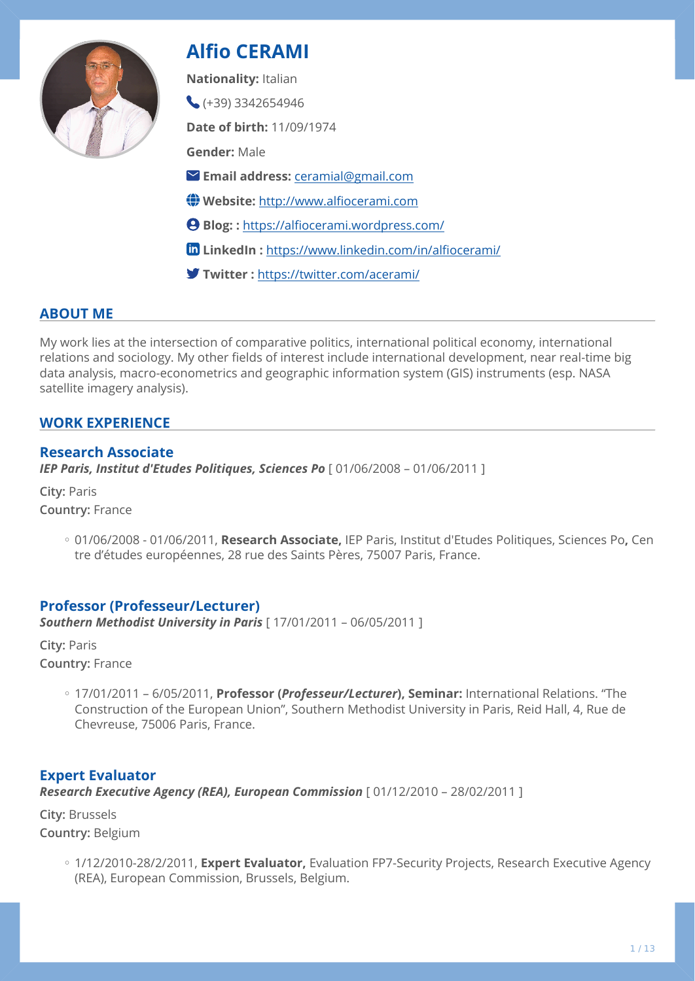

# **Alfio CERAMI**

**Nationality:** Italian

 $(+39)$  3342654946

**Date of birth:** 11/09/1974

**Gender:** Male

- **Email address:** [ceramial@gmail.com](mailto:ceramial@gmail.com)
- **Website:** [http://www.al](http://www.alfiocerami.com)fiocerami.com
- **Blog: :** https://alfi[ocerami.wordpress.com/](https://alfiocerami.wordpress.com/)
- **LinkedIn :** [https://www.linkedin.com/in/al](https://www.linkedin.com/in/alfiocerami/)fiocerami/
- **Twitter :** <https://twitter.com/acerami/>

## **ABOUT ME**

My work lies at the intersection of comparative politics, international political economy, international relations and sociology. My other fields of interest include international development, near real-time big data analysis, macro-econometrics and geographic information system (GIS) instruments (esp. NASA satellite imagery analysis).

## **WORK EXPERIENCE**

## **Research Associate**

*IEP Paris, Institut d'Etudes Politiques, Sciences Po* [ 01/06/2008 – 01/06/2011 ]

**City:** Paris **Country:** France

> 01/06/2008 - 01/06/2011, **Research Associate,** IEP Paris, Institut d'Etudes Politiques, Sciences Po**,** Cen ◦ tre d'études européennes, 28 rue des Saints Pères, 75007 Paris, France.

## **Professor (Professeur/Lecturer)**

*Southern Methodist University in Paris* [ 17/01/2011 – 06/05/2011 ]

**City:** Paris **Country:** France

> 17/01/2011 – 6/05/2011, **Professor (***Professeur/Lecturer***), Seminar:** International Relations. "The ◦ Construction of the European Union", Southern Methodist University in Paris, Reid Hall, 4, Rue de Chevreuse, 75006 Paris, France.

## **Expert Evaluator**

*Research Executive Agency (REA), European Commission* [ 01/12/2010 – 28/02/2011 ]

**City:** Brussels **Country:** Belgium

> ◦ 1/12/2010-28/2/2011, **Expert Evaluator,** Evaluation FP7-Security Projects, Research Executive Agency (REA), European Commission, Brussels, Belgium.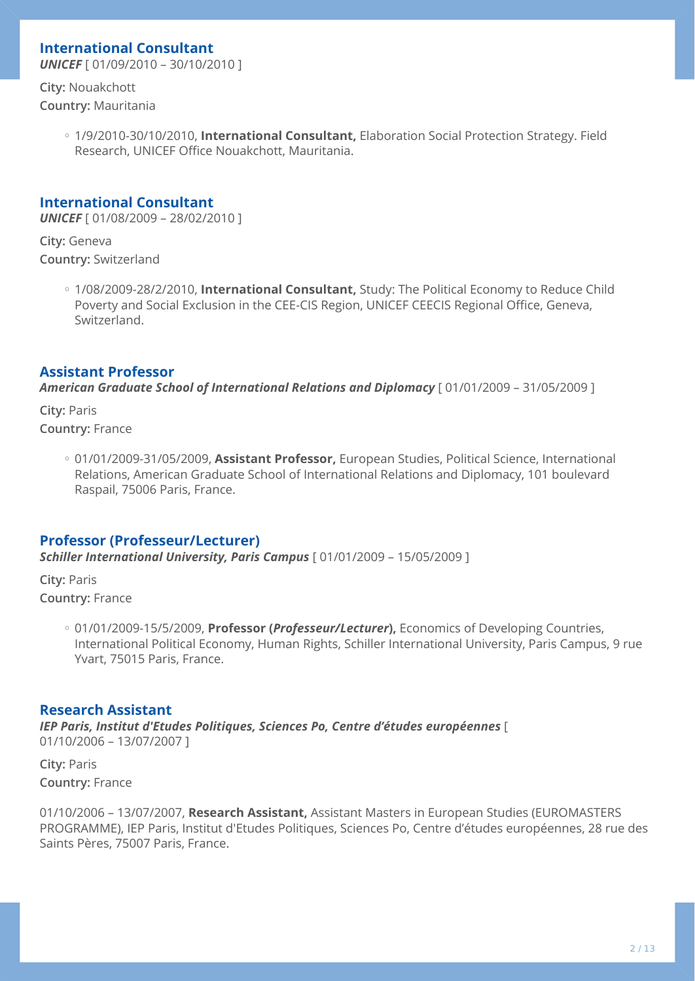## **International Consultant**

*UNICEF* [ 01/09/2010 – 30/10/2010 ]

**City:** Nouakchott **Country:** Mauritania

> ◦ 1/9/2010-30/10/2010, **International Consultant,** Elaboration Social Protection Strategy. Field Research, UNICEF Office Nouakchott, Mauritania.

## **International Consultant**

*UNICEF* [ 01/08/2009 – 28/02/2010 ]

**City:** Geneva **Country:** Switzerland

> ◦ 1/08/2009-28/2/2010, **International Consultant,** Study: The Political Economy to Reduce Child Poverty and Social Exclusion in the CEE-CIS Region, UNICEF CEECIS Regional Office, Geneva, Switzerland.

## **Assistant Professor**

*American Graduate School of International Relations and Diplomacy* [ 01/01/2009 – 31/05/2009 ]

**City:** Paris **Country:** France

> 01/01/2009-31/05/2009, **Assistant Professor,** European Studies, Political Science, International ◦ Relations, American Graduate School of International Relations and Diplomacy, 101 boulevard Raspail, 75006 Paris, France.

## **Professor (Professeur/Lecturer)**

*Schiller International University, Paris Campus* [ 01/01/2009 – 15/05/2009 ]

**City:** Paris **Country:** France

> ◦ 01/01/2009-15/5/2009, **Professor (***Professeur/Lecturer***),** Economics of Developing Countries, International Political Economy, Human Rights, Schiller International University, Paris Campus, 9 rue Yvart, 75015 Paris, France.

## **Research Assistant**

*IEP Paris, Institut d'Etudes Politiques, Sciences Po, Centre d'études européennes* [ 01/10/2006 – 13/07/2007 ]

**City:** Paris **Country:** France

01/10/2006 – 13/07/2007, **Research Assistant,** Assistant Masters in European Studies (EUROMASTERS PROGRAMME), IEP Paris, Institut d'Etudes Politiques, Sciences Po, Centre d'études européennes, 28 rue des Saints Pères, 75007 Paris, France.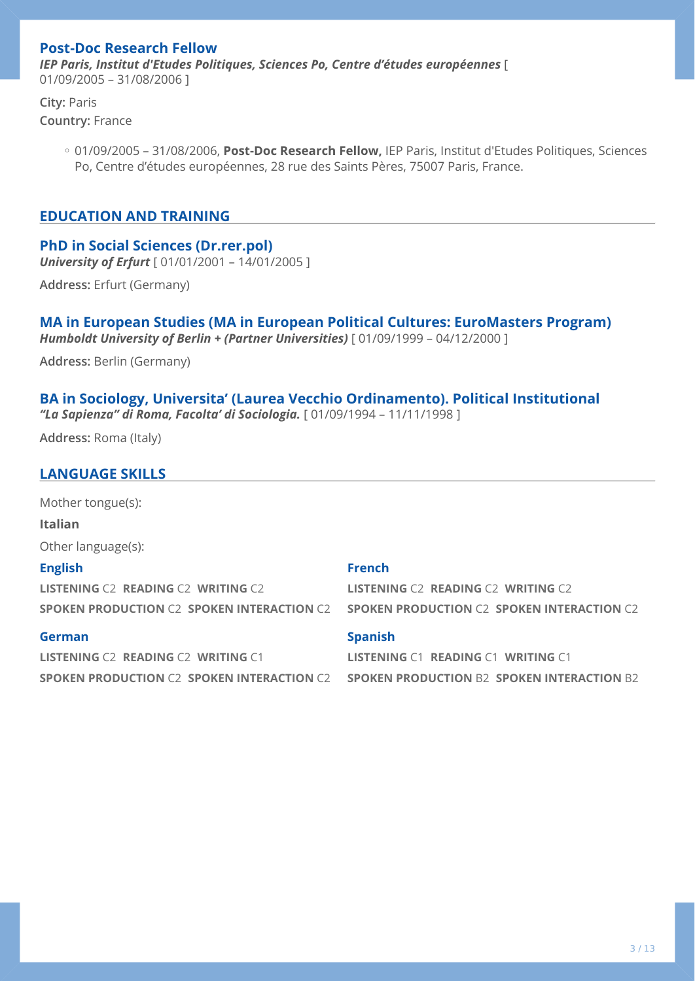## **Post-Doc Research Fellow**

*IEP Paris, Institut d'Etudes Politiques, Sciences Po, Centre d'études européennes* [ 01/09/2005 – 31/08/2006 ]

**City:** Paris **Country:** France

> 01/09/2005 – 31/08/2006, **Post-Doc Research Fellow,** IEP Paris, Institut d'Etudes Politiques, Sciences ◦ Po, Centre d'études européennes, 28 rue des Saints Pères, 75007 Paris, France.

### **EDUCATION AND TRAINING**

### **PhD in Social Sciences (Dr.rer.pol)**

*University of Erfurt* [ 01/01/2001 – 14/01/2005 ]

**Address:** Erfurt (Germany)

### **MA in European Studies (MA in European Political Cultures: EuroMasters Program)**  *Humboldt University of Berlin + (Partner Universities)* [ 01/09/1999 – 04/12/2000 ]

**Address:** Berlin (Germany)

### **BA in Sociology, Universita' (Laurea Vecchio Ordinamento). Political Institutional**  *"La Sapienza" di Roma, Facolta' di Sociologia.* [ 01/09/1994 – 11/11/1998 ]

**Address:** Roma (Italy)

### **LANGUAGE SKILLS**

Mother tongue(s):

**Italian**

Other language(s):

### **English**

**LISTENING** C2 **READING** C2 **WRITING** C2 **SPOKEN PRODUCTION** C2 **SPOKEN INTERACTION** C2

### **German**

**LISTENING** C2 **READING** C2 **WRITING** C1 **SPOKEN PRODUCTION** C2 **SPOKEN INTERACTION** C2

#### **French**

**LISTENING** C2 **READING** C2 **WRITING** C2 **SPOKEN PRODUCTION** C2 **SPOKEN INTERACTION** C2

### **Spanish**

**LISTENING** C1 **READING** C1 **WRITING** C1 **SPOKEN PRODUCTION** B2 **SPOKEN INTERACTION** B2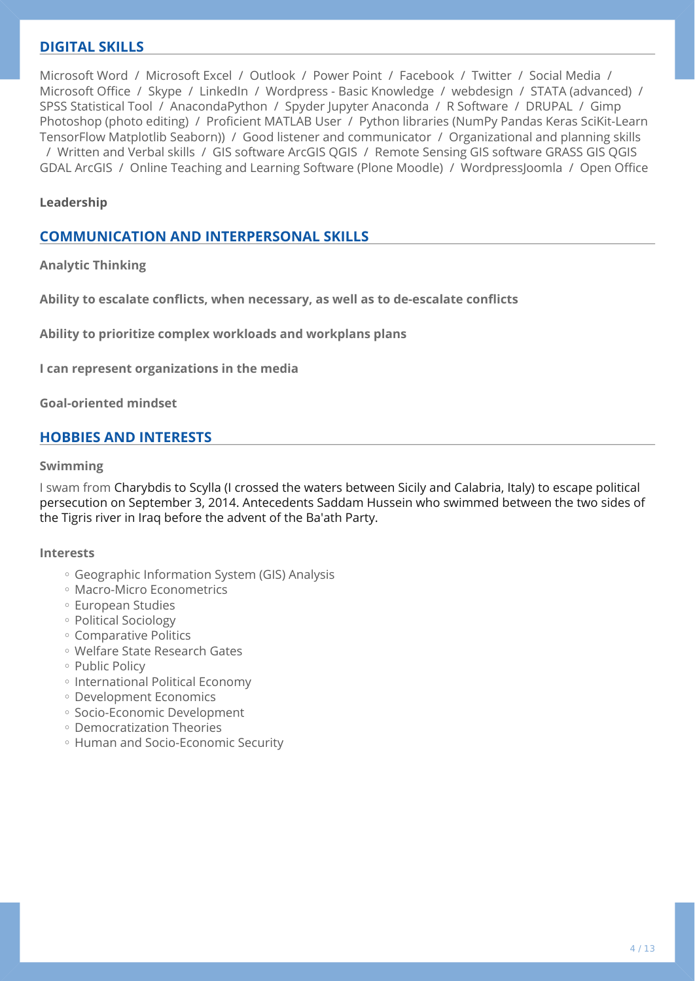## **DIGITAL SKILLS**

Microsoft Word / Microsoft Excel / Outlook / Power Point / Facebook / Twitter / Social Media / Microsoft Office / Skype / LinkedIn / Wordpress - Basic Knowledge / webdesign / STATA (advanced) / SPSS Statistical Tool / AnacondaPython / Spyder Jupyter Anaconda / R Software / DRUPAL / Gimp Photoshop (photo editing) / Proficient MATLAB User / Python libraries (NumPy Pandas Keras SciKit-Learn TensorFlow Matplotlib Seaborn)) / Good listener and communicator / Organizational and planning skills / Written and Verbal skills / GIS software ArcGIS QGIS / Remote Sensing GIS software GRASS GIS QGIS GDAL ArcGIS / Online Teaching and Learning Software (Plone Moodle) / WordpressJoomla / Open Office

### **Leadership**

## **COMMUNICATION AND INTERPERSONAL SKILLS**

**Analytic Thinking** 

**Ability to escalate conflicts, when necessary, as well as to de-escalate conflicts** 

**Ability to prioritize complex workloads and workplans plans** 

**I can represent organizations in the media** 

**Goal-oriented mindset** 

### **HOBBIES AND INTERESTS**

#### **Swimming**

I swam from Charybdis to Scylla (I crossed the waters between Sicily and Calabria, Italy) to escape political persecution on September 3, 2014. Antecedents Saddam Hussein who swimmed between the two sides of the Tigris river in Iraq before the advent of the Ba'ath Party.

#### **Interests**

- Geographic Information System (GIS) Analysis ◦
- Macro-Micro Econometrics ◦
- European Studies ◦
- Political Sociology ◦
- Comparative Politics ◦
- Welfare State Research Gates ◦
- Public Policy
- International Political Economy
- Development Economics ◦
- Socio-Economic Development
- Democratization Theories ◦
- Human and Socio-Economic Security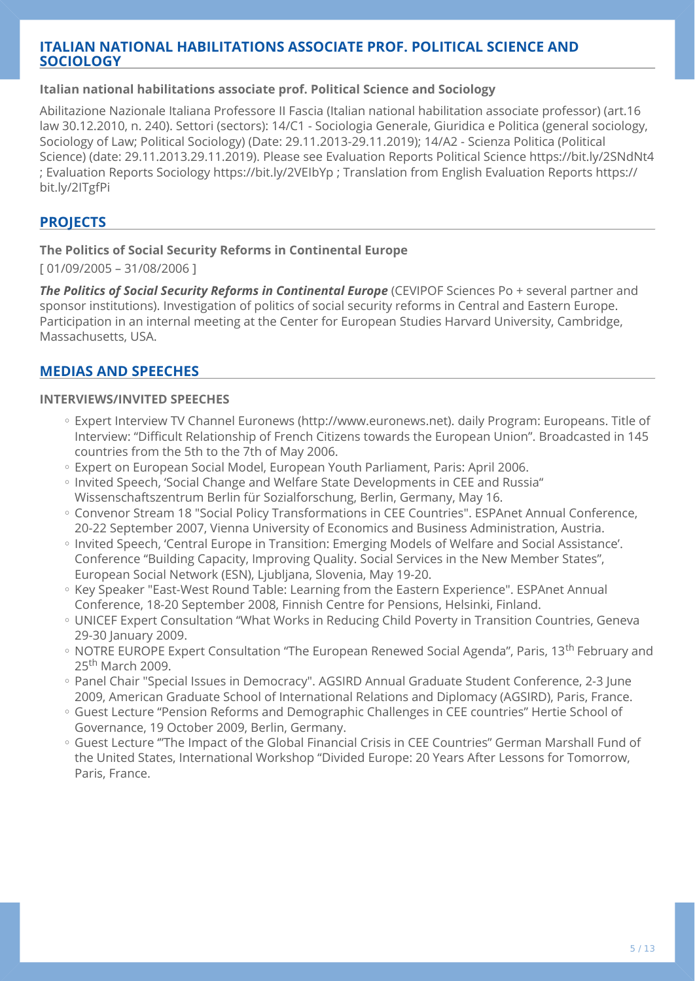## **ITALIAN NATIONAL HABILITATIONS ASSOCIATE PROF. POLITICAL SCIENCE AND SOCIOLOGY**

### **Italian national habilitations associate prof. Political Science and Sociology**

Abilitazione Nazionale Italiana Professore II Fascia (Italian national habilitation associate professor) (art.16 law 30.12.2010, n. 240). Settori (sectors): 14/C1 - Sociologia Generale, Giuridica e Politica (general sociology, Sociology of Law; Political Sociology) (Date: 29.11.2013-29.11.2019); 14/A2 - Scienza Politica (Political Science) (date: 29.11.2013.29.11.2019). Please see Evaluation Reports Political Science https://bit.ly/2SNdNt4 ; Evaluation Reports Sociology https://bit.ly/2VEIbYp ; Translation from English Evaluation Reports https:// bit.ly/2ITgfPi

## **PROJECTS**

### **The Politics of Social Security Reforms in Continental Europe**

[ 01/09/2005 – 31/08/2006 ]

**The Politics of Social Security Reforms in Continental Europe** (CEVIPOF Sciences Po + several partner and sponsor institutions). Investigation of politics of social security reforms in Central and Eastern Europe. Participation in an internal meeting at the Center for European Studies Harvard University, Cambridge, Massachusetts, USA.

## **MEDIAS AND SPEECHES**

### **INTERVIEWS/INVITED SPEECHES**

- Expert Interview TV Channel Euronews (http://www.euronews.net). daily Program: Europeans. Title of Interview: "Difficult Relationship of French Citizens towards the European Union". Broadcasted in 145 countries from the 5th to the 7th of May 2006.
- Expert on European Social Model, European Youth Parliament, Paris: April 2006.
- Invited Speech, 'Social Change and Welfare State Developments in CEE and Russia" Wissenschaftszentrum Berlin für Sozialforschung, Berlin, Germany, May 16.
- Convenor Stream 18 "Social Policy Transformations in CEE Countries". ESPAnet Annual Conference, 20-22 September 2007, Vienna University of Economics and Business Administration, Austria.
- Invited Speech, 'Central Europe in Transition: Emerging Models of Welfare and Social Assistance'. Conference "Building Capacity, Improving Quality. Social Services in the New Member States", European Social Network (ESN), Ljubljana, Slovenia, May 19-20.
- Key Speaker "East-West Round Table: Learning from the Eastern Experience". ESPAnet Annual Conference, 18-20 September 2008, Finnish Centre for Pensions, Helsinki, Finland.
- UNICEF Expert Consultation "What Works in Reducing Child Poverty in Transition Countries, Geneva 29-30 January 2009.
- NOTRE EUROPE Expert Consultation "The European Renewed Social Agenda", Paris, 13<sup>th</sup> February and 25<sup>th</sup> March 2009.
- Panel Chair "Special Issues in Democracy". AGSIRD Annual Graduate Student Conference, 2-3 June 2009, American Graduate School of International Relations and Diplomacy (AGSIRD), Paris, France.
- Guest Lecture "Pension Reforms and Demographic Challenges in CEE countries" Hertie School of Governance, 19 October 2009, Berlin, Germany.
- $\, \circ \,$  Guest Lecture "'The Impact of the Global Financial Crisis in CEE Countries" German Marshall Fund of the United States, International Workshop "Divided Europe: 20 Years After Lessons for Tomorrow, Paris, France.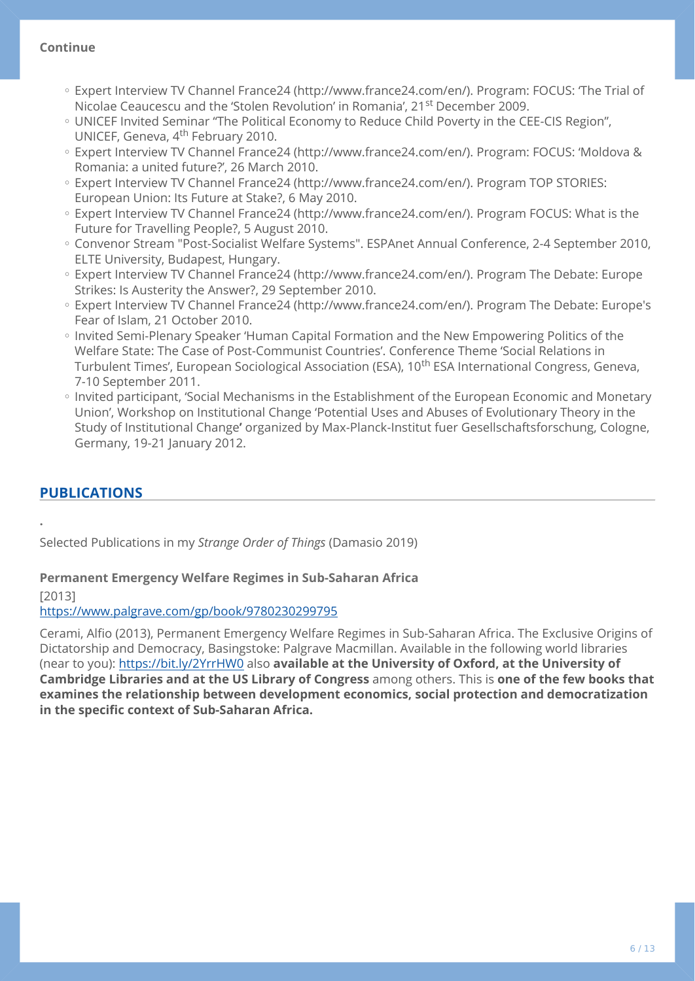### **Continue**

- Expert Interview TV Channel France24 (http://www.france24.com/en/). Program: FOCUS: 'The Trial of Nicolae Ceaucescu and the 'Stolen Revolution' in Romania', 21<sup>st</sup> December 2009.
- UNICEF Invited Seminar "The Political Economy to Reduce Child Poverty in the CEE-CIS Region", UNICEF, Geneva, 4<sup>th</sup> February 2010.
- Expert Interview TV Channel France24 (http://www.france24.com/en/). Program: FOCUS: 'Moldova & Romania: a united future?', 26 March 2010.
- Expert Interview TV Channel France24 (http://www.france24.com/en/). Program TOP STORIES: European Union: Its Future at Stake?, 6 May 2010.
- Expert Interview TV Channel France24 (http://www.france24.com/en/). Program FOCUS: What is the Future for Travelling People?, 5 August 2010.
- Convenor Stream "Post-Socialist Welfare Systems". ESPAnet Annual Conference, 2-4 September 2010, ELTE University, Budapest, Hungary.
- Expert Interview TV Channel France24 (http://www.france24.com/en/). Program The Debate: Europe Strikes: Is Austerity the Answer?, 29 September 2010.
- Expert Interview TV Channel France24 (http://www.france24.com/en/). Program The Debate: Europe's Fear of Islam, 21 October 2010.
- Invited Semi-Plenary Speaker 'Human Capital Formation and the New Empowering Politics of the Welfare State: The Case of Post-Communist Countries'. Conference Theme 'Social Relations in Turbulent Times', European Sociological Association (ESA), 10<sup>th</sup> ESA International Congress, Geneva, 7-10 September 2011.
- Invited participant, 'Social Mechanisms in the Establishment of the European Economic and Monetary Union', Workshop on Institutional Change 'Potential Uses and Abuses of Evolutionary Theory in the Study of Institutional Change**'** organized by Max-Planck-Institut fuer Gesellschaftsforschung, Cologne, Germany, 19-21 January 2012.

## **PUBLICATIONS**

Selected Publications in my *Strange Order of Things* (Damasio 2019)

### **Permanent Emergency Welfare Regimes in Sub-Saharan Africa**

[2013]

**.** 

### <https://www.palgrave.com/gp/book/9780230299795>

Cerami, Alfio (2013), Permanent Emergency Welfare Regimes in Sub-Saharan Africa. The Exclusive Origins of Dictatorship and Democracy, Basingstoke: Palgrave Macmillan. Available in the following world libraries (near to you): <https://bit.ly/2YrrHW0>also **available at the University of Oxford, at the University of Cambridge Libraries and at the US Library of Congress** among others. This is **one of the few books that examines the relationship between development economics, social protection and democratization in the specific context of Sub-Saharan Africa.**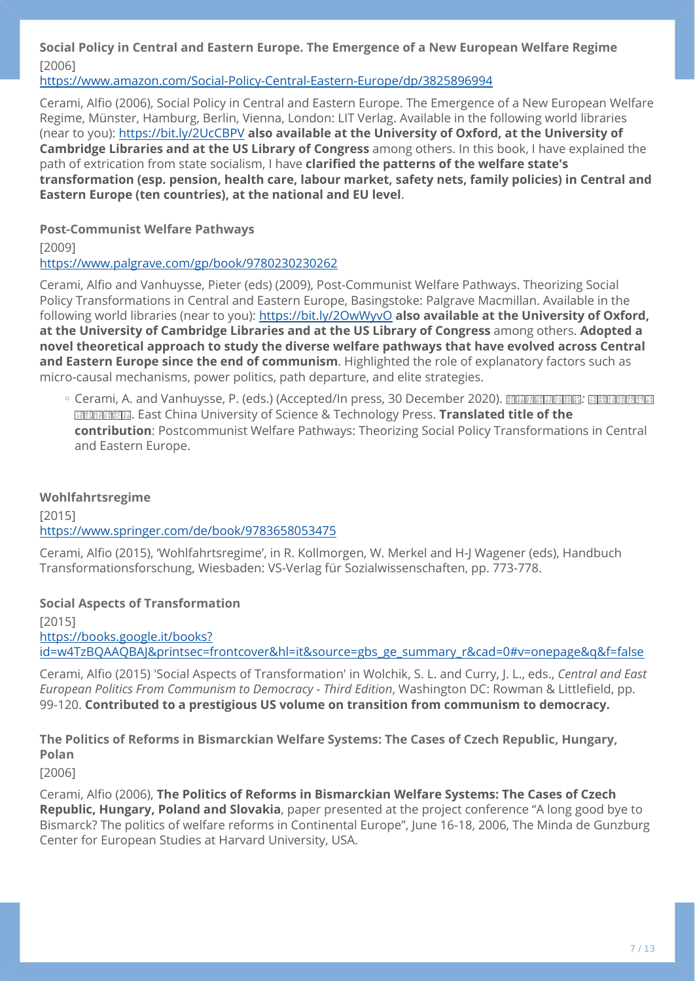## **Social Policy in Central and Eastern Europe. The Emergence of a New European Welfare Regime**  [2006]

<https://www.amazon.com/Social-Policy-Central-Eastern-Europe/dp/3825896994>

Cerami, Alfio (2006), Social Policy in Central and Eastern Europe. The Emergence of a New European Welfare Regime, Münster, Hamburg, Berlin, Vienna, London: LIT Verlag. Available in the following world libraries (near to you): <https://bit.ly/2UcCBPV> **also available at the University of Oxford, at the University of Cambridge Libraries and at the US Library of Congress** among others. In this book, I have explained the path of extrication from state socialism, I have **clarified the patterns of the welfare state's transformation (esp. pension, health care, labour market, safety nets, family policies) in Central and Eastern Europe (ten countries), at the national and EU level**.

### **Post-Communist Welfare Pathways**

[2009]

<https://www.palgrave.com/gp/book/9780230230262>

Cerami, Alfio and Vanhuysse, Pieter (eds) (2009), Post-Communist Welfare Pathways. Theorizing Social Policy Transformations in Central and Eastern Europe, Basingstoke: Palgrave Macmillan. Available in the following world libraries (near to you): <https://bit.ly/2OwWyvO> **also available at the University of Oxford, at the University of Cambridge Libraries and at the US Library of Congress** among others. **Adopted a novel theoretical approach to study the diverse welfare pathways that have evolved across Central and Eastern Europe since the end of communism**. Highlighted the role of explanatory factors such as micro-causal mechanisms, power politics, path departure, and elite strategies.

。Cerami, A. and Vanhuysse, P. (eds.) (Accepted/In press, 30 December 2020). 图图图图图图图 : 剧图图图图图图 *79 3E 4F 1A <sup>65</sup> 3F 7B <sup>56</sup> 8F 6C <sup>57</sup> 8B* . East China University of Science & Technology Press. **Translated title of the contribution**: Postcommunist Welfare Pathways: Theorizing Social Policy Transformations in Central and Eastern Europe.

### **Wohlfahrtsregime**

[2015] <https://www.springer.com/de/book/9783658053475>

Cerami, Alfio (2015), 'Wohlfahrtsregime', in R. Kollmorgen, W. Merkel and H-J Wagener (eds), Handbuch Transformationsforschung, Wiesbaden: VS-Verlag für Sozialwissenschaften, pp. 773-778.

## **Social Aspects of Transformation**

[2015] [https://books.google.it/books?](https://books.google.it/books?id=w4TzBQAAQBAJ&printsec=frontcover&hl=it&source=gbs_ge_summary_r&cad=0#v=onepage&q&f=false) [id=w4TzBQAAQBAJ&printsec=frontcover&hl=it&source=gbs\\_ge\\_summary\\_r&cad=0#v=onepage&q&f=false](https://books.google.it/books?id=w4TzBQAAQBAJ&printsec=frontcover&hl=it&source=gbs_ge_summary_r&cad=0#v=onepage&q&f=false)

Cerami, Alfio (2015) 'Social Aspects of Transformation' in Wolchik, S. L. and Curry, J. L., eds., *Central and East European Politics From Communism to Democracy - Third Edition*, Washington DC: Rowman & Littlefield, pp. 99-120. **Contributed to a prestigious US volume on transition from communism to democracy.**

**The Politics of Reforms in Bismarckian Welfare Systems: The Cases of Czech Republic, Hungary, Polan** 

[2006]

Cerami, Alfio (2006), **The Politics of Reforms in Bismarckian Welfare Systems: The Cases of Czech Republic, Hungary, Poland and Slovakia**, paper presented at the project conference "A long good bye to Bismarck? The politics of welfare reforms in Continental Europe", June 16-18, 2006, The Minda de Gunzburg Center for European Studies at Harvard University, USA.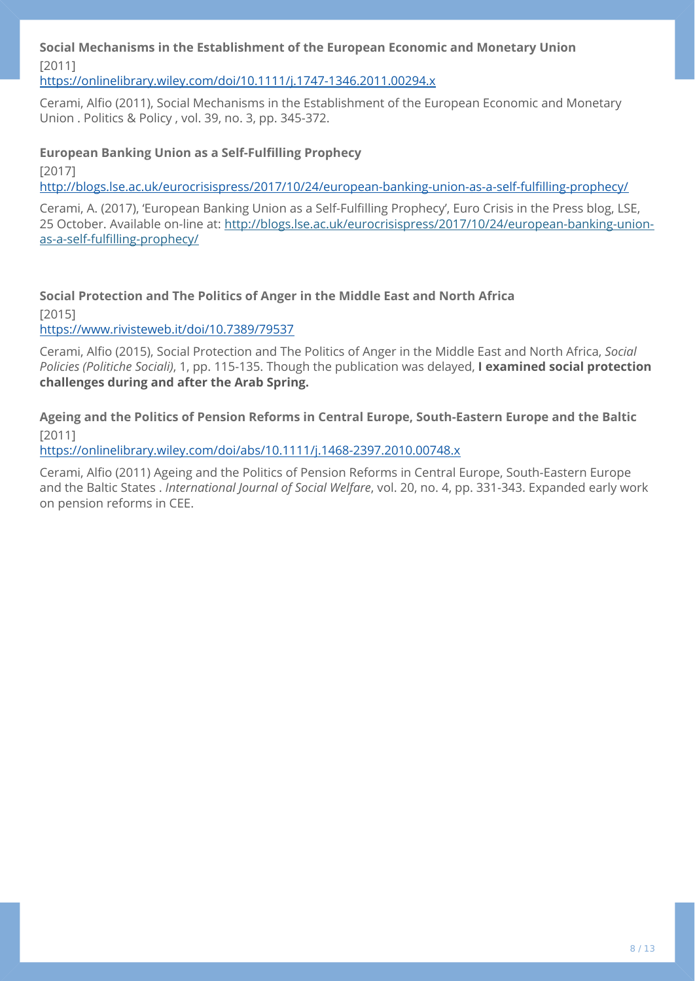**Social Mechanisms in the Establishment of the European Economic and Monetary Union**  [2011]

<https://onlinelibrary.wiley.com/doi/10.1111/j.1747-1346.2011.00294.x>

Cerami, Alfio (2011), Social Mechanisms in the Establishment of the European Economic and Monetary Union . Politics & Policy , vol. 39, no. 3, pp. 345-372.

### **European Banking Union as a Self-Fulfilling Prophecy**

[2017]

[http://blogs.lse.ac.uk/eurocrisispress/2017/10/24/european-banking-union-as-a-self-ful](http://blogs.lse.ac.uk/eurocrisispress/2017/10/24/european-banking-union-as-a-self-fulfilling-prophecy/)filling-prophecy/

Cerami, A. (2017), 'European Banking Union as a Self-Fulfilling Prophecy', Euro Crisis in the Press blog, LSE, 25 October. Available on-line at: [http://blogs.lse.ac.uk/eurocrisispress/2017/10/24/european-banking-union](http://blogs.lse.ac.uk/eurocrisispress/2017/10/24/european-banking-union-as-a-self-fulfilling-prophecy/)as-a-self-fulfi[lling-prophecy/](http://blogs.lse.ac.uk/eurocrisispress/2017/10/24/european-banking-union-as-a-self-fulfilling-prophecy/)

**Social Protection and The Politics of Anger in the Middle East and North Africa** 

[2015]

<https://www.rivisteweb.it/doi/10.7389/79537>

Cerami, Alfio (2015), Social Protection and The Politics of Anger in the Middle East and North Africa, *Social Policies (Politiche Sociali)*, 1, pp. 115-135. Though the publication was delayed, **I examined social protection challenges during and after the Arab Spring.**

**Ageing and the Politics of Pension Reforms in Central Europe, South-Eastern Europe and the Baltic**  [2011]

<https://onlinelibrary.wiley.com/doi/abs/10.1111/j.1468-2397.2010.00748.x>

Cerami, Alfio (2011) Ageing and the Politics of Pension Reforms in Central Europe, South-Eastern Europe and the Baltic States . *International Journal of Social Welfare*, vol. 20, no. 4, pp. 331-343. Expanded early work on pension reforms in CEE.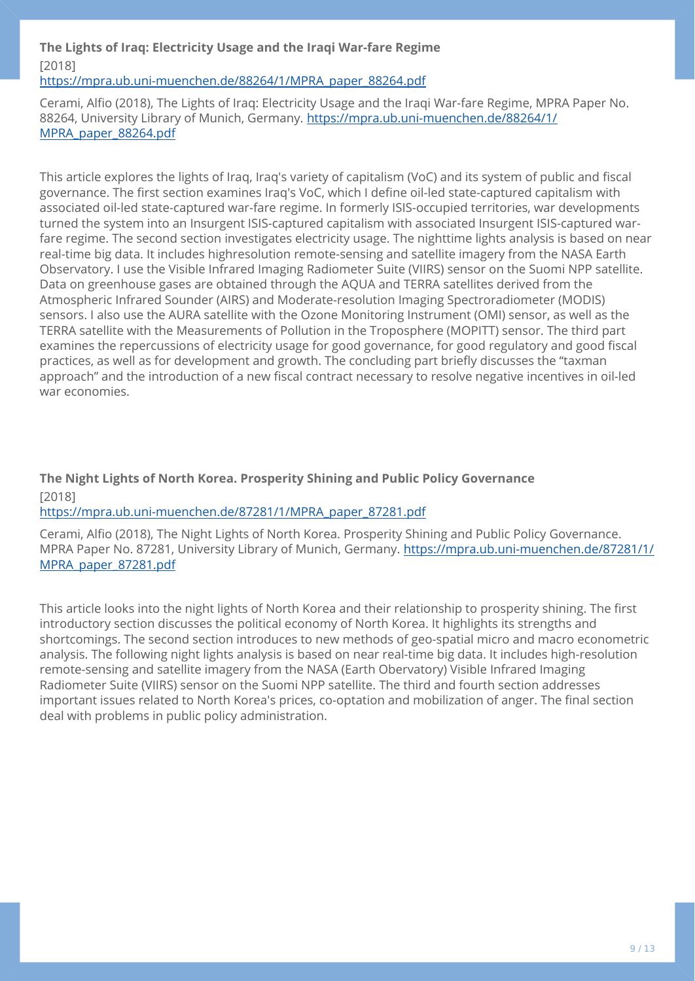## **The Lights of Iraq: Electricity Usage and the Iraqi War-fare Regime**  [2018]

[https://mpra.ub.uni-muenchen.de/88264/1/MPRA\\_paper\\_88264.pdf](https://mpra.ub.uni-muenchen.de/88264/1/MPRA_paper_88264.pdf)

Cerami, Alfio (2018), The Lights of Iraq: Electricity Usage and the Iraqi War-fare Regime, MPRA Paper No. 88264, University Library of Munich, Germany. [https://mpra.ub.uni-muenchen.de/88264/1/](https://mpra.ub.uni-muenchen.de/88264/1/MPRA_paper_88264.pdf) [MPRA\\_paper\\_88264.pdf](https://mpra.ub.uni-muenchen.de/88264/1/MPRA_paper_88264.pdf)

This article explores the lights of Iraq, Iraq's variety of capitalism (VoC) and its system of public and fiscal governance. The first section examines Iraq's VoC, which I define oil-led state-captured capitalism with associated oil-led state-captured war-fare regime. In formerly ISIS-occupied territories, war developments turned the system into an Insurgent ISIS-captured capitalism with associated Insurgent ISIS-captured warfare regime. The second section investigates electricity usage. The nighttime lights analysis is based on near real-time big data. It includes highresolution remote-sensing and satellite imagery from the NASA Earth Observatory. I use the Visible Infrared Imaging Radiometer Suite (VIIRS) sensor on the Suomi NPP satellite. Data on greenhouse gases are obtained through the AQUA and TERRA satellites derived from the Atmospheric Infrared Sounder (AIRS) and Moderate-resolution Imaging Spectroradiometer (MODIS) sensors. I also use the AURA satellite with the Ozone Monitoring Instrument (OMI) sensor, as well as the TERRA satellite with the Measurements of Pollution in the Troposphere (MOPITT) sensor. The third part examines the repercussions of electricity usage for good governance, for good regulatory and good fiscal practices, as well as for development and growth. The concluding part briefly discusses the "taxman approach" and the introduction of a new fiscal contract necessary to resolve negative incentives in oil-led war economies.

## **The Night Lights of North Korea. Prosperity Shining and Public Policy Governance**  [2018]

[https://mpra.ub.uni-muenchen.de/87281/1/MPRA\\_paper\\_87281.pdf](https://mpra.ub.uni-muenchen.de/87281/1/MPRA_paper_87281.pdf)

Cerami, Alfio (2018), The Night Lights of North Korea. Prosperity Shining and Public Policy Governance. MPRA Paper No. 87281, University Library of Munich, Germany. [https://mpra.ub.uni-muenchen.de/87281/1/](https://mpra.ub.uni-muenchen.de/87281/1/MPRA_paper_87281.pdf) [MPRA\\_paper\\_87281.pdf](https://mpra.ub.uni-muenchen.de/87281/1/MPRA_paper_87281.pdf)

This article looks into the night lights of North Korea and their relationship to prosperity shining. The first introductory section discusses the political economy of North Korea. It highlights its strengths and shortcomings. The second section introduces to new methods of geo-spatial micro and macro econometric analysis. The following night lights analysis is based on near real-time big data. It includes high-resolution remote-sensing and satellite imagery from the NASA (Earth Obervatory) Visible Infrared Imaging Radiometer Suite (VIIRS) sensor on the Suomi NPP satellite. The third and fourth section addresses important issues related to North Korea's prices, co-optation and mobilization of anger. The final section deal with problems in public policy administration.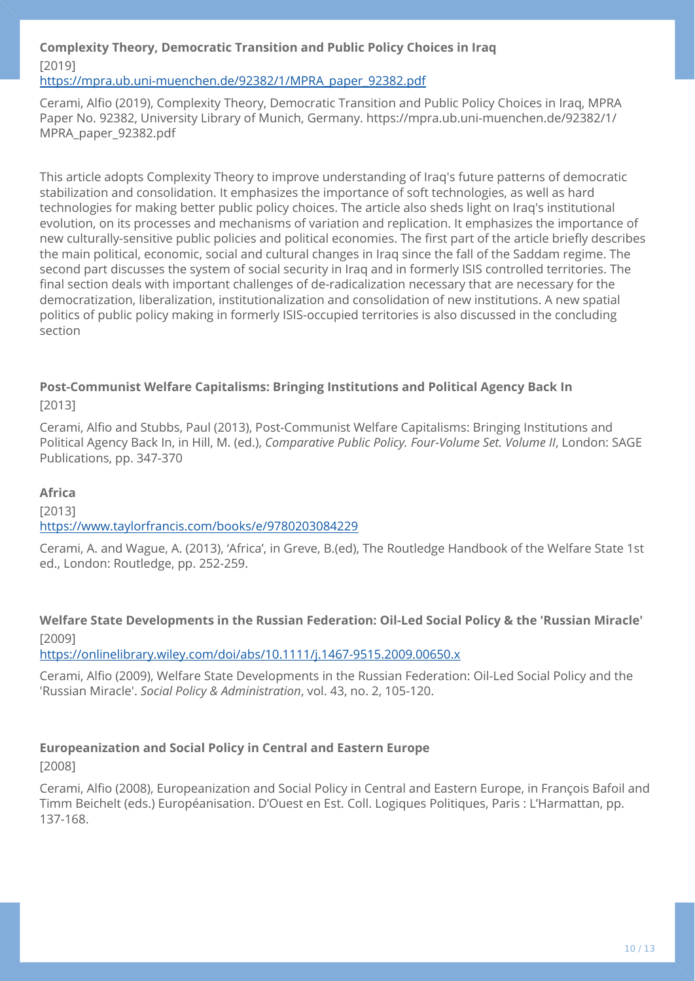## **Complexity Theory, Democratic Transition and Public Policy Choices in Iraq**  [2019]

### [https://mpra.ub.uni-muenchen.de/92382/1/MPRA\\_paper\\_92382.pdf](https://mpra.ub.uni-muenchen.de/92382/1/MPRA_paper_92382.pdf)

Cerami, Alfio (2019), Complexity Theory, Democratic Transition and Public Policy Choices in Iraq, MPRA Paper No. 92382, University Library of Munich, Germany. https://mpra.ub.uni-muenchen.de/92382/1/ MPRA\_paper\_92382.pdf

This article adopts Complexity Theory to improve understanding of Iraq's future patterns of democratic stabilization and consolidation. It emphasizes the importance of soft technologies, as well as hard technologies for making better public policy choices. The article also sheds light on Iraq's institutional evolution, on its processes and mechanisms of variation and replication. It emphasizes the importance of new culturally-sensitive public policies and political economies. The first part of the article briefly describes the main political, economic, social and cultural changes in Iraq since the fall of the Saddam regime. The second part discusses the system of social security in Iraq and in formerly ISIS controlled territories. The final section deals with important challenges of de-radicalization necessary that are necessary for the democratization, liberalization, institutionalization and consolidation of new institutions. A new spatial politics of public policy making in formerly ISIS-occupied territories is also discussed in the concluding section

### **Post-Communist Welfare Capitalisms: Bringing Institutions and Political Agency Back In**  [2013]

Cerami, Alfio and Stubbs, Paul (2013), Post-Communist Welfare Capitalisms: Bringing Institutions and Political Agency Back In, in Hill, M. (ed.), *Comparative Public Policy. Four-Volume Set. Volume II*, London: SAGE Publications, pp. 347-370

### **Africa**

[2013] <https://www.taylorfrancis.com/books/e/9780203084229>

Cerami, A. and Wague, A. (2013), 'Africa', in Greve, B.(ed), The Routledge Handbook of the Welfare State 1st ed., London: Routledge, pp. 252-259.

## **Welfare State Developments in the Russian Federation: Oil-Led Social Policy & the 'Russian Miracle'**  [2009]

<https://onlinelibrary.wiley.com/doi/abs/10.1111/j.1467-9515.2009.00650.x>

Cerami, Alfio (2009), Welfare State Developments in the Russian Federation: Oil-Led Social Policy and the 'Russian Miracle'. *Social Policy & Administration*, vol. 43, no. 2, 105-120.

## **Europeanization and Social Policy in Central and Eastern Europe**

[2008]

Cerami, Alfio (2008), Europeanization and Social Policy in Central and Eastern Europe, in François Bafoil and Timm Beichelt (eds.) Européanisation. D'Ouest en Est. Coll. Logiques Politiques, Paris : L'Harmattan, pp. 137-168.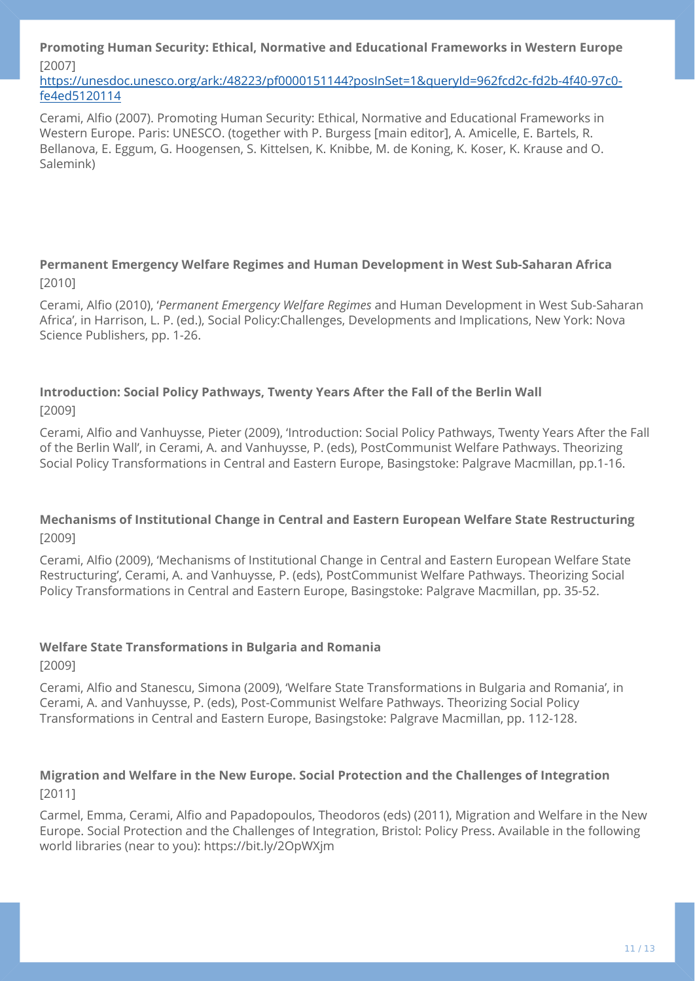**Promoting Human Security: Ethical, Normative and Educational Frameworks in Western Europe**  [2007]

[https://unesdoc.unesco.org/ark:/48223/pf0000151144?posInSet=1&queryId=962fcd2c-fd2b-4f40-97c0](https://unesdoc.unesco.org/ark:/48223/pf0000151144?posInSet=1&queryId=962fcd2c-fd2b-4f40-97c0-fe4ed5120114) [fe4ed5120114](https://unesdoc.unesco.org/ark:/48223/pf0000151144?posInSet=1&queryId=962fcd2c-fd2b-4f40-97c0-fe4ed5120114)

Cerami, Alfio (2007). Promoting Human Security: Ethical, Normative and Educational Frameworks in Western Europe. Paris: UNESCO. (together with P. Burgess [main editor], A. Amicelle, E. Bartels, R. Bellanova, E. Eggum, G. Hoogensen, S. Kittelsen, K. Knibbe, M. de Koning, K. Koser, K. Krause and O. Salemink)

## **Permanent Emergency Welfare Regimes and Human Development in West Sub-Saharan Africa**  [2010]

Cerami, Alfio (2010), '*Permanent Emergency Welfare Regimes* and Human Development in West Sub-Saharan Africa', in Harrison, L. P. (ed.), Social Policy:Challenges, Developments and Implications, New York: Nova Science Publishers, pp. 1-26.

## **Introduction: Social Policy Pathways, Twenty Years After the Fall of the Berlin Wall**  [2009]

Cerami, Alfio and Vanhuysse, Pieter (2009), 'Introduction: Social Policy Pathways, Twenty Years After the Fall of the Berlin Wall', in Cerami, A. and Vanhuysse, P. (eds), PostCommunist Welfare Pathways. Theorizing Social Policy Transformations in Central and Eastern Europe, Basingstoke: Palgrave Macmillan, pp.1-16.

## **Mechanisms of Institutional Change in Central and Eastern European Welfare State Restructuring**  [2009]

Cerami, Alfio (2009), 'Mechanisms of Institutional Change in Central and Eastern European Welfare State Restructuring', Cerami, A. and Vanhuysse, P. (eds), PostCommunist Welfare Pathways. Theorizing Social Policy Transformations in Central and Eastern Europe, Basingstoke: Palgrave Macmillan, pp. 35-52.

## **Welfare State Transformations in Bulgaria and Romania**

[2009]

Cerami, Alfio and Stanescu, Simona (2009), 'Welfare State Transformations in Bulgaria and Romania', in Cerami, A. and Vanhuysse, P. (eds), Post-Communist Welfare Pathways. Theorizing Social Policy Transformations in Central and Eastern Europe, Basingstoke: Palgrave Macmillan, pp. 112-128.

## **Migration and Welfare in the New Europe. Social Protection and the Challenges of Integration**  [2011]

Carmel, Emma, Cerami, Alfio and Papadopoulos, Theodoros (eds) (2011), Migration and Welfare in the New Europe. Social Protection and the Challenges of Integration, Bristol: Policy Press. Available in the following world libraries (near to you): https://bit.ly/2OpWXjm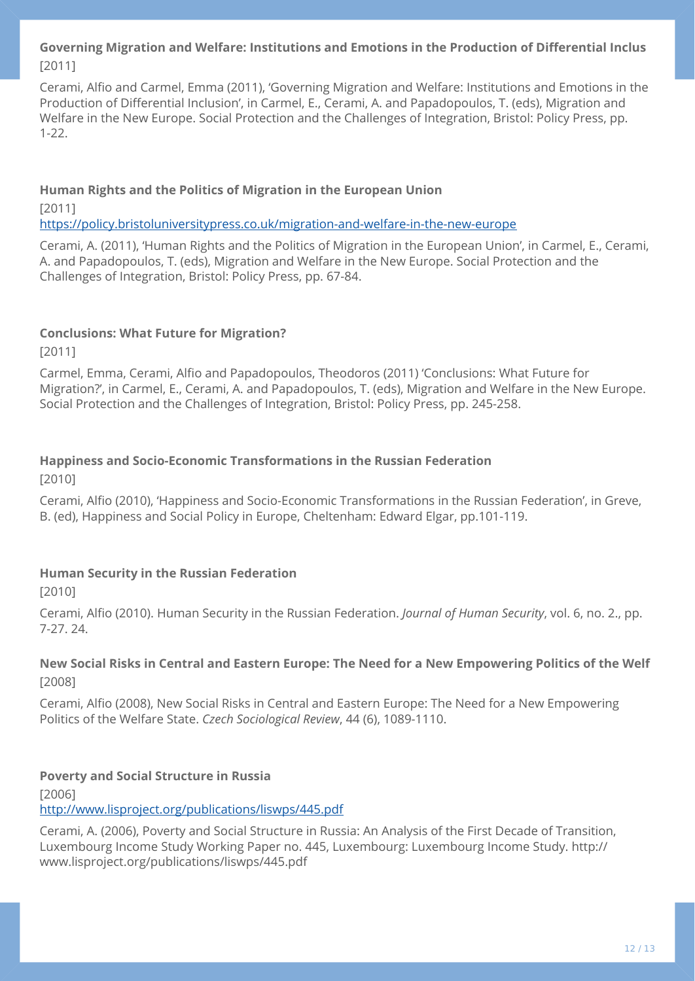## **Governing Migration and Welfare: Institutions and Emotions in the Production of Differential Inclus**  [2011]

Cerami, Alfio and Carmel, Emma (2011), 'Governing Migration and Welfare: Institutions and Emotions in the Production of Differential Inclusion', in Carmel, E., Cerami, A. and Papadopoulos, T. (eds), Migration and Welfare in the New Europe. Social Protection and the Challenges of Integration, Bristol: Policy Press, pp. 1-22.

### **Human Rights and the Politics of Migration in the European Union**

[2011]

<https://policy.bristoluniversitypress.co.uk/migration-and-welfare-in-the-new-europe>

Cerami, A. (2011), 'Human Rights and the Politics of Migration in the European Union', in Carmel, E., Cerami, A. and Papadopoulos, T. (eds), Migration and Welfare in the New Europe. Social Protection and the Challenges of Integration, Bristol: Policy Press, pp. 67-84.

## **Conclusions: What Future for Migration?**

[2011]

Carmel, Emma, Cerami, Alfio and Papadopoulos, Theodoros (2011) 'Conclusions: What Future for Migration?', in Carmel, E., Cerami, A. and Papadopoulos, T. (eds), Migration and Welfare in the New Europe. Social Protection and the Challenges of Integration, Bristol: Policy Press, pp. 245-258.

## **Happiness and Socio-Economic Transformations in the Russian Federation**

[2010]

Cerami, Alfio (2010), 'Happiness and Socio-Economic Transformations in the Russian Federation', in Greve, B. (ed), Happiness and Social Policy in Europe, Cheltenham: Edward Elgar, pp.101-119.

## **Human Security in the Russian Federation**

[2010]

Cerami, Alfio (2010). Human Security in the Russian Federation. *Journal of Human Security*, vol. 6, no. 2., pp. 7-27. 24.

## **New Social Risks in Central and Eastern Europe: The Need for a New Empowering Politics of the Welf**  [2008]

Cerami, Alfio (2008), New Social Risks in Central and Eastern Europe: The Need for a New Empowering Politics of the Welfare State. *Czech Sociological Review*, 44 (6), 1089-1110.

## **Poverty and Social Structure in Russia**

[2006] <http://www.lisproject.org/publications/liswps/445.pdf>

Cerami, A. (2006), Poverty and Social Structure in Russia: An Analysis of the First Decade of Transition, Luxembourg Income Study Working Paper no. 445, Luxembourg: Luxembourg Income Study. http:// www.lisproject.org/publications/liswps/445.pdf